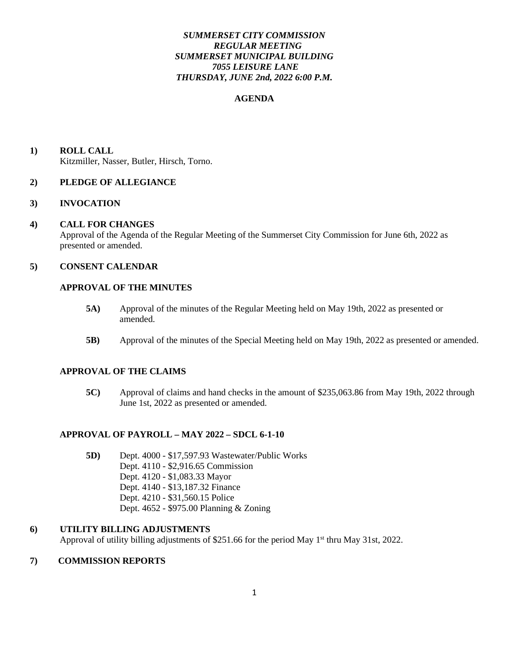# *SUMMERSET CITY COMMISSION REGULAR MEETING SUMMERSET MUNICIPAL BUILDING 7055 LEISURE LANE THURSDAY, JUNE 2nd, 2022 6:00 P.M.*

## **AGENDA**

**1) ROLL CALL** Kitzmiller, Nasser, Butler, Hirsch, Torno.

## **2) PLEDGE OF ALLEGIANCE**

## **3) INVOCATION**

#### **4) CALL FOR CHANGES**

 Approval of the Agenda of the Regular Meeting of the Summerset City Commission for June 6th, 2022 as presented or amended.

# **5) CONSENT CALENDAR**

## **APPROVAL OF THE MINUTES**

- **5A)** Approval of the minutes of the Regular Meeting held on May 19th, 2022 as presented or amended.
- **5B)** Approval of the minutes of the Special Meeting held on May 19th, 2022 as presented or amended.

## **APPROVAL OF THE CLAIMS**

**5C)** Approval of claims and hand checks in the amount of \$235,063.86 from May 19th, 2022 through June 1st, 2022 as presented or amended.

## **APPROVAL OF PAYROLL – MAY 2022 – SDCL 6-1-10**

**5D)** Dept. 4000 - \$17,597.93 Wastewater/Public Works Dept. 4110 - \$2,916.65 Commission Dept. 4120 - \$1,083.33 Mayor Dept. 4140 - \$13,187.32 Finance Dept. 4210 - \$31,560.15 Police Dept. 4652 - \$975.00 Planning & Zoning

#### **6) UTILITY BILLING ADJUSTMENTS**

Approval of utility billing adjustments of \$251.66 for the period May 1<sup>st</sup> thru May 31st, 2022.

## **7) COMMISSION REPORTS**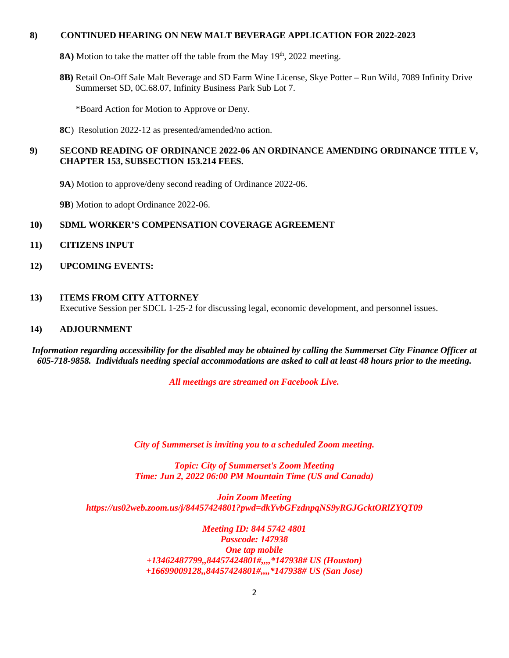## **8) CONTINUED HEARING ON NEW MALT BEVERAGE APPLICATION FOR 2022-2023**

- **8A)** Motion to take the matter off the table from the May 19<sup>th</sup>, 2022 meeting.
- **8B)** Retail On-Off Sale Malt Beverage and SD Farm Wine License, Skye Potter Run Wild, 7089 Infinity Drive Summerset SD, 0C.68.07, Infinity Business Park Sub Lot 7.

\*Board Action for Motion to Approve or Deny.

 **8C**) Resolution 2022-12 as presented/amended/no action.

# **9) SECOND READING OF ORDINANCE 2022-06 AN ORDINANCE AMENDING ORDINANCE TITLE V, CHAPTER 153, SUBSECTION 153.214 FEES.**

- **9A**) Motion to approve/deny second reading of Ordinance 2022-06.
- **9B**) Motion to adopt Ordinance 2022-06.

## **10) SDML WORKER'S COMPENSATION COVERAGE AGREEMENT**

- **11) CITIZENS INPUT**
- **12) UPCOMING EVENTS:**

## **13) ITEMS FROM CITY ATTORNEY**

Executive Session per SDCL 1-25-2 for discussing legal, economic development, and personnel issues.

## **14) ADJOURNMENT**

*Information regarding accessibility for the disabled may be obtained by calling the Summerset City Finance Officer at 605-718-9858. Individuals needing special accommodations are asked to call at least 48 hours prior to the meeting.*

*All meetings are streamed on Facebook Live.*

*City of Summerset is inviting you to a scheduled Zoom meeting.*

*Topic: City of Summerset's Zoom Meeting Time: Jun 2, 2022 06:00 PM Mountain Time (US and Canada)*

*Join Zoom Meeting https://us02web.zoom.us/j/84457424801?pwd=dkYvbGFzdnpqNS9yRGJGcktORlZYQT09*

> *Meeting ID: 844 5742 4801 Passcode: 147938 One tap mobile +13462487799,,84457424801#,,,,\*147938# US (Houston) +16699009128,,84457424801#,,,,\*147938# US (San Jose)*